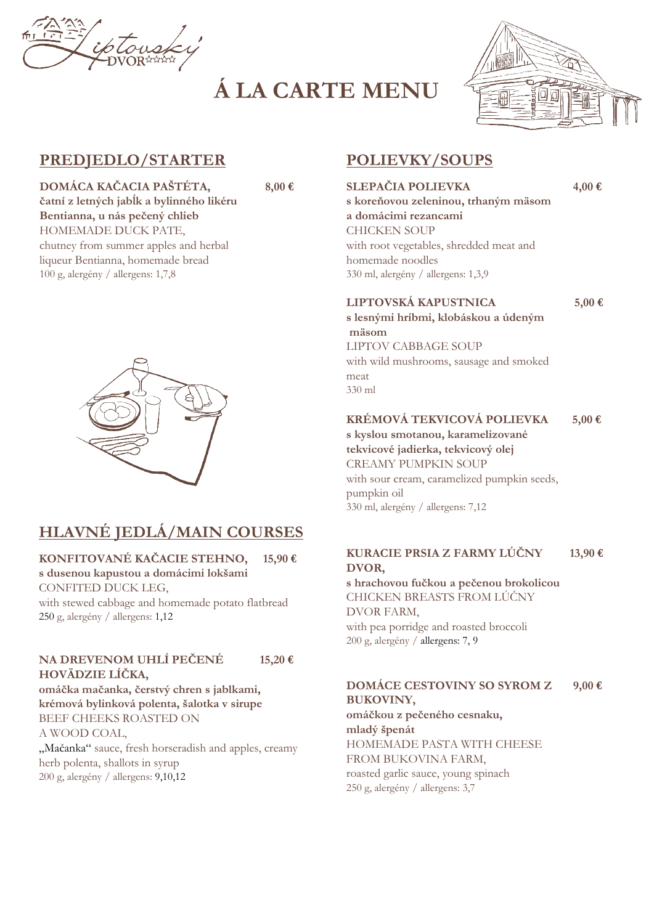

# **Á LA CARTE MENU**



## **PREDJEDLO/STARTER**

**DOMÁCA KAČACIA PAŠTÉTA, 8,00 € čatní z letných jabĺk a bylinného likéru Bentianna, u nás pečený chlieb** HOMEMADE DUCK PATE, chutney from summer apples and herbal liqueur Bentianna, homemade bread 100 g, alergény / allergens: 1,7,8



# **HLAVNÉ JEDLÁ/MAIN COURSES**

**KONFITOVANÉ KAČACIE STEHNO, 15,90 € s dusenou kapustou a domácimi lokšami** CONFITED DUCK LEG, with stewed cabbage and homemade potato flatbread 250 g, alergény / allergens: 1,12

#### **NA DREVENOM UHLÍ PEČENÉ 15,20 € HOVÄDZIE LÍČKA,**

**omáčka mačanka, čerstvý chren s jablkami, krémová bylinková polenta, šalotka v sirupe** BEEF CHEEKS ROASTED ON A WOOD COAL, "Mačanka" sauce, fresh horseradish and apples, creamy

herb polenta, shallots in syrup 200 g, alergény / allergens: 9,10,12

## **POLIEVKY/SOUPS**

**SLEPAČIA POLIEVKA 4,00 €**

**s koreňovou zeleninou, trhaným mäsom a domácimi rezancami** CHICKEN SOUP with root vegetables, shredded meat and homemade noodles 330 ml, alergény / allergens: 1,3,9

## **LIPTOVSKÁ KAPUSTNICA 5,00 €**

**s lesnými hríbmi, klobáskou a údeným mäsom** LIPTOV CABBAGE SOUP with wild mushrooms, sausage and smoked meat 330 ml

### **KRÉMOVÁ TEKVICOVÁ POLIEVKA 5,00 €**

**s kyslou smotanou, karamelizované tekvicové jadierka, tekvicový olej** CREAMY PUMPKIN SOUP with sour cream, caramelized pumpkin seeds, pumpkin oil 330 ml, alergény / allergens: 7,12

## **KURACIE PRSIA Z FARMY LÚČNY 13,90 € DVOR,**

**s hrachovou fučkou a pečenou brokolicou** CHICKEN BREASTS FROM LÚČNY DVOR FARM, with pea porridge and roasted broccoli 200 g, alergény / allergens: 7, 9

### **DOMÁCE CESTOVINY SO SYROM Z 9,00 € BUKOVINY,**

**omáčkou z pečeného cesnaku, mladý špenát** HOMEMADE PASTA WITH CHEESE FROM BUKOVINA FARM, roasted garlic sauce, young spinach 250 g, alergény / allergens: 3,7